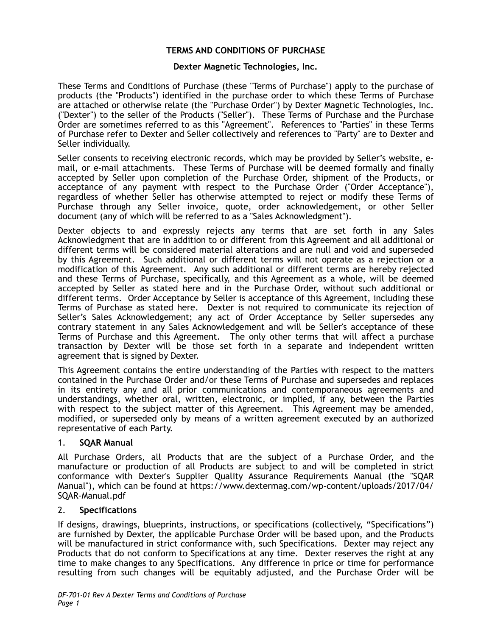# **TERMS AND CONDITIONS OF PURCHASE**

## **Dexter Magnetic Technologies, Inc.**

These Terms and Conditions of Purchase (these "Terms of Purchase") apply to the purchase of products (the "Products") identified in the purchase order to which these Terms of Purchase are attached or otherwise relate (the "Purchase Order") by Dexter Magnetic Technologies, Inc. ("Dexter") to the seller of the Products ("Seller"). These Terms of Purchase and the Purchase Order are sometimes referred to as this "Agreement". References to "Parties" in these Terms of Purchase refer to Dexter and Seller collectively and references to "Party" are to Dexter and Seller individually.

Seller consents to receiving electronic records, which may be provided by Seller's website, email, or e-mail attachments. These Terms of Purchase will be deemed formally and finally accepted by Seller upon completion of the Purchase Order, shipment of the Products, or acceptance of any payment with respect to the Purchase Order ("Order Acceptance"), regardless of whether Seller has otherwise attempted to reject or modify these Terms of Purchase through any Seller invoice, quote, order acknowledgement, or other Seller document (any of which will be referred to as a "Sales Acknowledgment").

Dexter objects to and expressly rejects any terms that are set forth in any Sales Acknowledgment that are in addition to or different from this Agreement and all additional or different terms will be considered material alterations and are null and void and superseded by this Agreement. Such additional or different terms will not operate as a rejection or a modification of this Agreement. Any such additional or different terms are hereby rejected and these Terms of Purchase, specifically, and this Agreement as a whole, will be deemed accepted by Seller as stated here and in the Purchase Order, without such additional or different terms. Order Acceptance by Seller is acceptance of this Agreement, including these Terms of Purchase as stated here. Dexter is not required to communicate its rejection of Seller's Sales Acknowledgement; any act of Order Acceptance by Seller supersedes any contrary statement in any Sales Acknowledgement and will be Seller's acceptance of these Terms of Purchase and this Agreement. The only other terms that will affect a purchase transaction by Dexter will be those set forth in a separate and independent written agreement that is signed by Dexter.

This Agreement contains the entire understanding of the Parties with respect to the matters contained in the Purchase Order and/or these Terms of Purchase and supersedes and replaces in its entirety any and all prior communications and contemporaneous agreements and understandings, whether oral, written, electronic, or implied, if any, between the Parties with respect to the subject matter of this Agreement. This Agreement may be amended, modified, or superseded only by means of a written agreement executed by an authorized representative of each Party.

### 1. **SQAR Manual**

All Purchase Orders, all Products that are the subject of a Purchase Order, and the manufacture or production of all Products are subject to and will be completed in strict conformance with Dexter's Supplier Quality Assurance Requirements Manual (the "SQAR Manual"), which can be found at https://www.dextermag.com/wp-content/uploads/2017/04/ SQAR-Manual.pdf

### 2. **Specifications**

If designs, drawings, blueprints, instructions, or specifications (collectively, "Specifications") are furnished by Dexter, the applicable Purchase Order will be based upon, and the Products will be manufactured in strict conformance with, such Specifications. Dexter may reject any Products that do not conform to Specifications at any time. Dexter reserves the right at any time to make changes to any Specifications. Any difference in price or time for performance resulting from such changes will be equitably adjusted, and the Purchase Order will be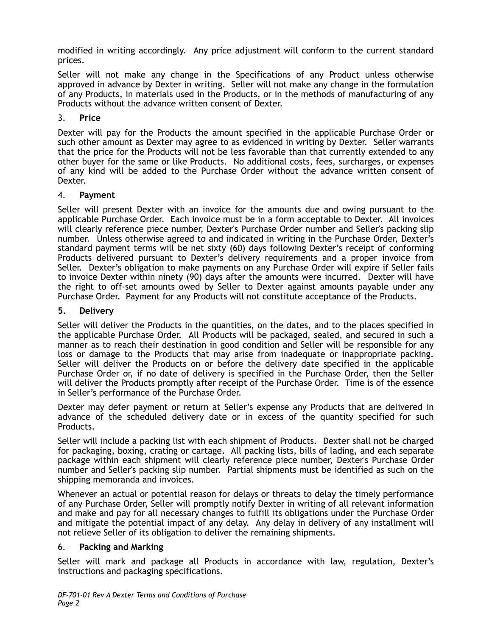modified in writing accordingly. Any price adjustment will conform to the current standard prices.

Seller will not make any change in the Specifications of any Product unless otherwise approved in advance by Dexter in writing. Seller will not make any change in the formulation of any Products, in materials used in the Products, or in the methods of manufacturing of any Products without the advance written consent of Dexter.

# 3. **Price**

Dexter will pay for the Products the amount specified in the applicable Purchase Order or such other amount as Dexter may agree to as evidenced in writing by Dexter. Seller warrants that the price for the Products will not be less favorable than that currently extended to any other buyer for the same or like Products. No additional costs, fees, surcharges, or expenses of any kind will be added to the Purchase Order without the advance written consent of Dexter.

## 4. **Payment**

Seller will present Dexter with an invoice for the amounts due and owing pursuant to the applicable Purchase Order. Each invoice must be in a form acceptable to Dexter. All invoices will clearly reference piece number, Dexter's Purchase Order number and Seller's packing slip number. Unless otherwise agreed to and indicated in writing in the Purchase Order, Dexter's standard payment terms will be net sixty (60) days following Dexter's receipt of conforming Products delivered pursuant to Dexter's delivery requirements and a proper invoice from Seller. Dexter's obligation to make payments on any Purchase Order will expire if Seller fails to invoice Dexter within ninety (90) days after the amounts were incurred. Dexter will have the right to off-set amounts owed by Seller to Dexter against amounts payable under any Purchase Order. Payment for any Products will not constitute acceptance of the Products.

# **5. Delivery**

Seller will deliver the Products in the quantities, on the dates, and to the places specified in the applicable Purchase Order. All Products will be packaged, sealed, and secured in such a manner as to reach their destination in good condition and Seller will be responsible for any loss or damage to the Products that may arise from inadequate or inappropriate packing. Seller will deliver the Products on or before the delivery date specified in the applicable Purchase Order or, if no date of delivery is specified in the Purchase Order, then the Seller will deliver the Products promptly after receipt of the Purchase Order. Time is of the essence in Seller's performance of the Purchase Order.

Dexter may defer payment or return at Seller's expense any Products that are delivered in advance of the scheduled delivery date or in excess of the quantity specified for such Products.

Seller will include a packing list with each shipment of Products. Dexter shall not be charged for packaging, boxing, crating or cartage. All packing lists, bills of lading, and each separate package within each shipment will clearly reference piece number, Dexter's Purchase Order number and Seller's packing slip number. Partial shipments must be identified as such on the shipping memoranda and invoices.

Whenever an actual or potential reason for delays or threats to delay the timely performance of any Purchase Order, Seller will promptly notify Dexter in writing of all relevant information and make and pay for all necessary changes to fulfill its obligations under the Purchase Order and mitigate the potential impact of any delay. Any delay in delivery of any installment will not relieve Seller of its obligation to deliver the remaining shipments.

# 6. **Packing and Marking**

Seller will mark and package all Products in accordance with law, regulation, Dexter's instructions and packaging specifications.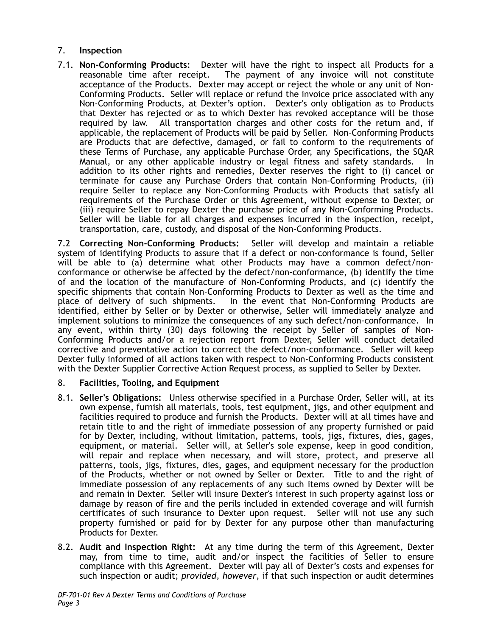# 7. **Inspection**

7.1. **Non-Conforming Products:** Dexter will have the right to inspect all Products for a The payment of any invoice will not constitute acceptance of the Products. Dexter may accept or reject the whole or any unit of Non-Conforming Products. Seller will replace or refund the invoice price associated with any Non-Conforming Products, at Dexter's option. Dexter's only obligation as to Products that Dexter has rejected or as to which Dexter has revoked acceptance will be those required by law. All transportation charges and other costs for the return and, if applicable, the replacement of Products will be paid by Seller. Non-Conforming Products are Products that are defective, damaged, or fail to conform to the requirements of these Terms of Purchase, any applicable Purchase Order, any Specifications, the SQAR Manual, or any other applicable industry or legal fitness and safety standards. In addition to its other rights and remedies, Dexter reserves the right to (i) cancel or terminate for cause any Purchase Orders that contain Non-Conforming Products, (ii) require Seller to replace any Non-Conforming Products with Products that satisfy all requirements of the Purchase Order or this Agreement, without expense to Dexter, or (iii) require Seller to repay Dexter the purchase price of any Non-Conforming Products. Seller will be liable for all charges and expenses incurred in the inspection, receipt, transportation, care, custody, and disposal of the Non-Conforming Products.

7.2 **Correcting Non-Conforming Products:** Seller will develop and maintain a reliable system of identifying Products to assure that if a defect or non-conformance is found, Seller will be able to (a) determine what other Products may have a common defect/nonconformance or otherwise be affected by the defect/non-conformance, (b) identify the time of and the location of the manufacture of Non-Conforming Products, and (c) identify the specific shipments that contain Non-Conforming Products to Dexter as well as the time and place of delivery of such shipments. In the event that Non-Conforming Products are identified, either by Seller or by Dexter or otherwise, Seller will immediately analyze and implement solutions to minimize the consequences of any such defect/non-conformance. In any event, within thirty (30) days following the receipt by Seller of samples of Non-Conforming Products and/or a rejection report from Dexter, Seller will conduct detailed corrective and preventative action to correct the defect/non-conformance. Seller will keep Dexter fully informed of all actions taken with respect to Non-Conforming Products consistent with the Dexter Supplier Corrective Action Request process, as supplied to Seller by Dexter.

# 8. **Facilities, Tooling, and Equipment**

- 8.1. **Seller's Obligations:** Unless otherwise specified in a Purchase Order, Seller will, at its own expense, furnish all materials, tools, test equipment, jigs, and other equipment and facilities required to produce and furnish the Products. Dexter will at all times have and retain title to and the right of immediate possession of any property furnished or paid for by Dexter, including, without limitation, patterns, tools, jigs, fixtures, dies, gages, equipment, or material. Seller will, at Seller's sole expense, keep in good condition, will repair and replace when necessary, and will store, protect, and preserve all patterns, tools, jigs, fixtures, dies, gages, and equipment necessary for the production of the Products, whether or not owned by Seller or Dexter. Title to and the right of immediate possession of any replacements of any such items owned by Dexter will be and remain in Dexter. Seller will insure Dexter's interest in such property against loss or damage by reason of fire and the perils included in extended coverage and will furnish certificates of such insurance to Dexter upon request. Seller will not use any such property furnished or paid for by Dexter for any purpose other than manufacturing Products for Dexter.
- 8.2. **Audit and Inspection Right:** At any time during the term of this Agreement, Dexter may, from time to time, audit and/or inspect the facilities of Seller to ensure compliance with this Agreement. Dexter will pay all of Dexter's costs and expenses for such inspection or audit; *provided, however*, if that such inspection or audit determines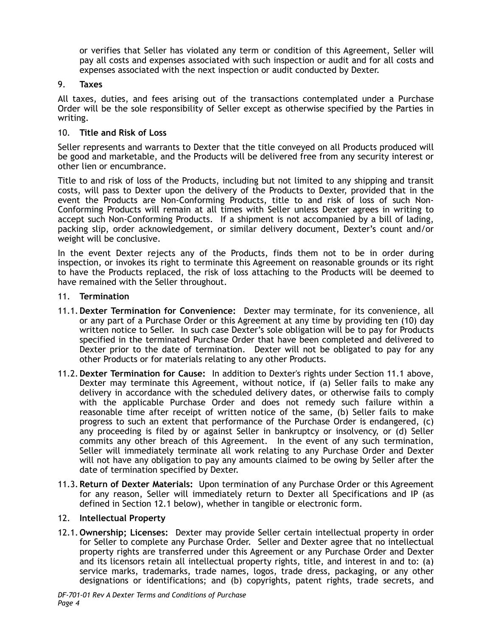or verifies that Seller has violated any term or condition of this Agreement, Seller will pay all costs and expenses associated with such inspection or audit and for all costs and expenses associated with the next inspection or audit conducted by Dexter.

## 9. **Taxes**

All taxes, duties, and fees arising out of the transactions contemplated under a Purchase Order will be the sole responsibility of Seller except as otherwise specified by the Parties in writing.

## 10. **Title and Risk of Loss**

Seller represents and warrants to Dexter that the title conveyed on all Products produced will be good and marketable, and the Products will be delivered free from any security interest or other lien or encumbrance.

Title to and risk of loss of the Products, including but not limited to any shipping and transit costs, will pass to Dexter upon the delivery of the Products to Dexter, provided that in the event the Products are Non-Conforming Products, title to and risk of loss of such Non-Conforming Products will remain at all times with Seller unless Dexter agrees in writing to accept such Non-Conforming Products. If a shipment is not accompanied by a bill of lading, packing slip, order acknowledgement, or similar delivery document, Dexter's count and/or weight will be conclusive.

In the event Dexter rejects any of the Products, finds them not to be in order during inspection, or invokes its right to terminate this Agreement on reasonable grounds or its right to have the Products replaced, the risk of loss attaching to the Products will be deemed to have remained with the Seller throughout.

### 11. **Termination**

- 11.1.**Dexter Termination for Convenience:** Dexter may terminate, for its convenience, all or any part of a Purchase Order or this Agreement at any time by providing ten (10) day written notice to Seller. In such case Dexter's sole obligation will be to pay for Products specified in the terminated Purchase Order that have been completed and delivered to Dexter prior to the date of termination. Dexter will not be obligated to pay for any other Products or for materials relating to any other Products.
- 11.2.**Dexter Termination for Cause:** In addition to Dexter's rights under Section 11.1 above, Dexter may terminate this Agreement, without notice, if (a) Seller fails to make any delivery in accordance with the scheduled delivery dates, or otherwise fails to comply with the applicable Purchase Order and does not remedy such failure within a reasonable time after receipt of written notice of the same, (b) Seller fails to make progress to such an extent that performance of the Purchase Order is endangered, (c) any proceeding is filed by or against Seller in bankruptcy or insolvency, or (d) Seller commits any other breach of this Agreement. In the event of any such termination, Seller will immediately terminate all work relating to any Purchase Order and Dexter will not have any obligation to pay any amounts claimed to be owing by Seller after the date of termination specified by Dexter.
- 11.3.**Return of Dexter Materials:** Upon termination of any Purchase Order or this Agreement for any reason, Seller will immediately return to Dexter all Specifications and IP (as defined in Section 12.1 below), whether in tangible or electronic form.

### 12. **Intellectual Property**

12.1. **Ownership; Licenses:** Dexter may provide Seller certain intellectual property in order for Seller to complete any Purchase Order. Seller and Dexter agree that no intellectual property rights are transferred under this Agreement or any Purchase Order and Dexter and its licensors retain all intellectual property rights, title, and interest in and to: (a) service marks, trademarks, trade names, logos, trade dress, packaging, or any other designations or identifications; and (b) copyrights, patent rights, trade secrets, and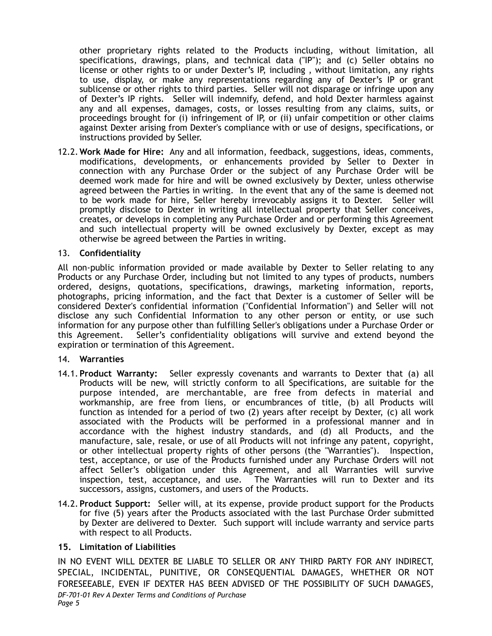other proprietary rights related to the Products including, without limitation, all specifications, drawings, plans, and technical data ("IP"); and (c) Seller obtains no license or other rights to or under Dexter's IP, including , without limitation, any rights to use, display, or make any representations regarding any of Dexter's IP or grant sublicense or other rights to third parties. Seller will not disparage or infringe upon any of Dexter's IP rights. Seller will indemnify, defend, and hold Dexter harmless against any and all expenses, damages, costs, or losses resulting from any claims, suits, or proceedings brought for (i) infringement of IP, or (ii) unfair competition or other claims against Dexter arising from Dexter's compliance with or use of designs, specifications, or instructions provided by Seller.

12.2.**Work Made for Hire:** Any and all information, feedback, suggestions, ideas, comments, modifications, developments, or enhancements provided by Seller to Dexter in connection with any Purchase Order or the subject of any Purchase Order will be deemed work made for hire and will be owned exclusively by Dexter, unless otherwise agreed between the Parties in writing. In the event that any of the same is deemed not to be work made for hire, Seller hereby irrevocably assigns it to Dexter. Seller will promptly disclose to Dexter in writing all intellectual property that Seller conceives, creates, or develops in completing any Purchase Order and or performing this Agreement and such intellectual property will be owned exclusively by Dexter, except as may otherwise be agreed between the Parties in writing.

## 13. **Confidentiality**

All non-public information provided or made available by Dexter to Seller relating to any Products or any Purchase Order, including but not limited to any types of products, numbers ordered, designs, quotations, specifications, drawings, marketing information, reports, photographs, pricing information, and the fact that Dexter is a customer of Seller will be considered Dexter's confidential information ("Confidential Information") and Seller will not disclose any such Confidential Information to any other person or entity, or use such information for any purpose other than fulfilling Seller's obligations under a Purchase Order or this Agreement. Seller's confidentiality obligations will survive and extend beyond the expiration or termination of this Agreement.

### 14. **Warranties**

- 14.1. **Product Warranty:** Seller expressly covenants and warrants to Dexter that (a) all Products will be new, will strictly conform to all Specifications, are suitable for the purpose intended, are merchantable, are free from defects in material and workmanship, are free from liens, or encumbrances of title, (b) all Products will function as intended for a period of two (2) years after receipt by Dexter, (c) all work associated with the Products will be performed in a professional manner and in accordance with the highest industry standards, and (d) all Products, and the manufacture, sale, resale, or use of all Products will not infringe any patent, copyright, or other intellectual property rights of other persons (the "Warranties"). Inspection, test, acceptance, or use of the Products furnished under any Purchase Orders will not affect Seller's obligation under this Agreement, and all Warranties will survive inspection, test, acceptance, and use. The Warranties will run to Dexter and its successors, assigns, customers, and users of the Products.
- 14.2. **Product Support:** Seller will, at its expense, provide product support for the Products for five (5) years after the Products associated with the last Purchase Order submitted by Dexter are delivered to Dexter. Such support will include warranty and service parts with respect to all Products.

# **15. Limitation of Liabilities**

IN NO EVENT WILL DEXTER BE LIABLE TO SELLER OR ANY THIRD PARTY FOR ANY INDIRECT, SPECIAL, INCIDENTAL, PUNITIVE, OR CONSEQUENTIAL DAMAGES, WHETHER OR NOT FORESEEABLE, EVEN IF DEXTER HAS BEEN ADVISED OF THE POSSIBILITY OF SUCH DAMAGES, *DF-701-01 Rev A Dexter Terms and Conditions of Purchase Page 5*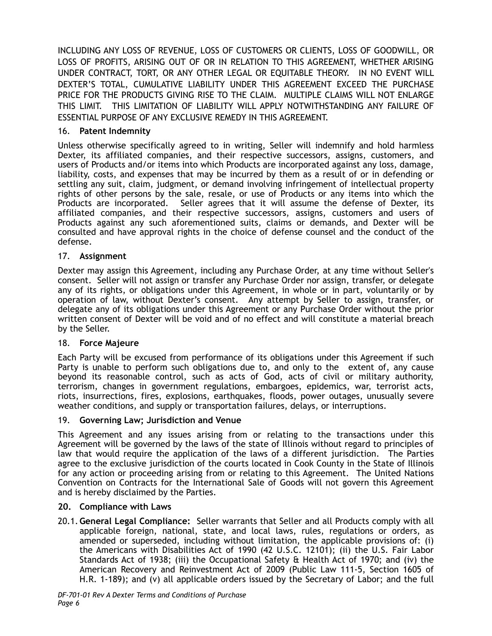INCLUDING ANY LOSS OF REVENUE, LOSS OF CUSTOMERS OR CLIENTS, LOSS OF GOODWILL, OR LOSS OF PROFITS, ARISING OUT OF OR IN RELATION TO THIS AGREEMENT, WHETHER ARISING UNDER CONTRACT, TORT, OR ANY OTHER LEGAL OR EQUITABLE THEORY. IN NO EVENT WILL DEXTER'S TOTAL, CUMULATIVE LIABILITY UNDER THIS AGREEMENT EXCEED THE PURCHASE PRICE FOR THE PRODUCTS GIVING RISE TO THE CLAIM. MULTIPLE CLAIMS WILL NOT ENLARGE THIS LIMIT. THIS LIMITATION OF LIABILITY WILL APPLY NOTWITHSTANDING ANY FAILURE OF ESSENTIAL PURPOSE OF ANY EXCLUSIVE REMEDY IN THIS AGREEMENT.

# 16. **Patent Indemnity**

Unless otherwise specifically agreed to in writing, Seller will indemnify and hold harmless Dexter, its affiliated companies, and their respective successors, assigns, customers, and users of Products and/or items into which Products are incorporated against any loss, damage, liability, costs, and expenses that may be incurred by them as a result of or in defending or settling any suit, claim, judgment, or demand involving infringement of intellectual property rights of other persons by the sale, resale, or use of Products or any items into which the Products are incorporated. Seller agrees that it will assume the defense of Dexter, its affiliated companies, and their respective successors, assigns, customers and users of Products against any such aforementioned suits, claims or demands, and Dexter will be consulted and have approval rights in the choice of defense counsel and the conduct of the defense.

# 17. **Assignment**

Dexter may assign this Agreement, including any Purchase Order, at any time without Seller's consent. Seller will not assign or transfer any Purchase Order nor assign, transfer, or delegate any of its rights, or obligations under this Agreement, in whole or in part, voluntarily or by operation of law, without Dexter's consent. Any attempt by Seller to assign, transfer, or delegate any of its obligations under this Agreement or any Purchase Order without the prior written consent of Dexter will be void and of no effect and will constitute a material breach by the Seller.

# 18. **Force Majeure**

Each Party will be excused from performance of its obligations under this Agreement if such Party is unable to perform such obligations due to, and only to the extent of, any cause beyond its reasonable control, such as acts of God, acts of civil or military authority, terrorism, changes in government regulations, embargoes, epidemics, war, terrorist acts, riots, insurrections, fires, explosions, earthquakes, floods, power outages, unusually severe weather conditions, and supply or transportation failures, delays, or interruptions.

# 19. **Governing Law; Jurisdiction and Venue**

This Agreement and any issues arising from or relating to the transactions under this Agreement will be governed by the laws of the state of Illinois without regard to principles of law that would require the application of the laws of a different jurisdiction. The Parties agree to the exclusive jurisdiction of the courts located in Cook County in the State of Illinois for any action or proceeding arising from or relating to this Agreement. The United Nations Convention on Contracts for the International Sale of Goods will not govern this Agreement and is hereby disclaimed by the Parties.

# **20. Compliance with Laws**

20.1.**General Legal Compliance:** Seller warrants that Seller and all Products comply with all applicable foreign, national, state, and local laws, rules, regulations or orders, as amended or superseded, including without limitation, the applicable provisions of: (i) the Americans with Disabilities Act of 1990 (42 U.S.C. 12101); (ii) the U.S. Fair Labor Standards Act of 1938; (iii) the Occupational Safety & Health Act of 1970; and (iv) the American Recovery and Reinvestment Act of 2009 (Public Law 111-5, Section 1605 of H.R. 1-189); and (v) all applicable orders issued by the Secretary of Labor; and the full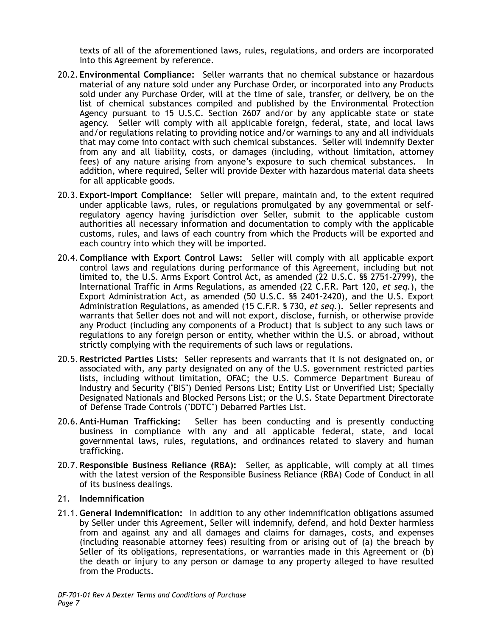texts of all of the aforementioned laws, rules, regulations, and orders are incorporated into this Agreement by reference.

- 20.2. **Environmental Compliance:** Seller warrants that no chemical substance or hazardous material of any nature sold under any Purchase Order, or incorporated into any Products sold under any Purchase Order, will at the time of sale, transfer, or delivery, be on the list of chemical substances compiled and published by the Environmental Protection Agency pursuant to 15 U.S.C. Section 2607 and/or by any applicable state or state agency. Seller will comply with all applicable foreign, federal, state, and local laws and/or regulations relating to providing notice and/or warnings to any and all individuals that may come into contact with such chemical substances. Seller will indemnify Dexter from any and all liability, costs, or damages (including, without limitation, attorney fees) of any nature arising from anyone's exposure to such chemical substances. In addition, where required, Seller will provide Dexter with hazardous material data sheets for all applicable goods.
- 20.3. **Export-Import Compliance:** Seller will prepare, maintain and, to the extent required under applicable laws, rules, or regulations promulgated by any governmental or selfregulatory agency having jurisdiction over Seller, submit to the applicable custom authorities all necessary information and documentation to comply with the applicable customs, rules, and laws of each country from which the Products will be exported and each country into which they will be imported.
- 20.4.**Compliance with Export Control Laws:** Seller will comply with all applicable export control laws and regulations during performance of this Agreement, including but not limited to, the U.S. Arms Export Control Act, as amended (22 U.S.C. §§ 2751-2799), the International Traffic in Arms Regulations, as amended (22 C.F.R. Part 120, *et seq.*), the Export Administration Act, as amended (50 U.S.C. §§ 2401-2420), and the U.S. Export Administration Regulations, as amended (15 C.F.R. § 730, *et seq.*). Seller represents and warrants that Seller does not and will not export, disclose, furnish, or otherwise provide any Product (including any components of a Product) that is subject to any such laws or regulations to any foreign person or entity, whether within the U.S. or abroad, without strictly complying with the requirements of such laws or regulations.
- 20.5.**Restricted Parties Lists:** Seller represents and warrants that it is not designated on, or associated with, any party designated on any of the U.S. government restricted parties lists, including without limitation, OFAC; the U.S. Commerce Department Bureau of Industry and Security ("BIS") Denied Persons List; Entity List or Unverified List; Specially Designated Nationals and Blocked Persons List; or the U.S. State Department Directorate of Defense Trade Controls ("DDTC") Debarred Parties List.
- 20.6.**Anti-Human Trafficking:** Seller has been conducting and is presently conducting business in compliance with any and all applicable federal, state, and local governmental laws, rules, regulations, and ordinances related to slavery and human trafficking.
- 20.7.**Responsible Business Reliance (RBA):** Seller, as applicable, will comply at all times with the latest version of the Responsible Business Reliance (RBA) Code of Conduct in all of its business dealings.

## 21. **Indemnification**

21.1.**General Indemnification:** In addition to any other indemnification obligations assumed by Seller under this Agreement, Seller will indemnify, defend, and hold Dexter harmless from and against any and all damages and claims for damages, costs, and expenses (including reasonable attorney fees) resulting from or arising out of (a) the breach by Seller of its obligations, representations, or warranties made in this Agreement or (b) the death or injury to any person or damage to any property alleged to have resulted from the Products.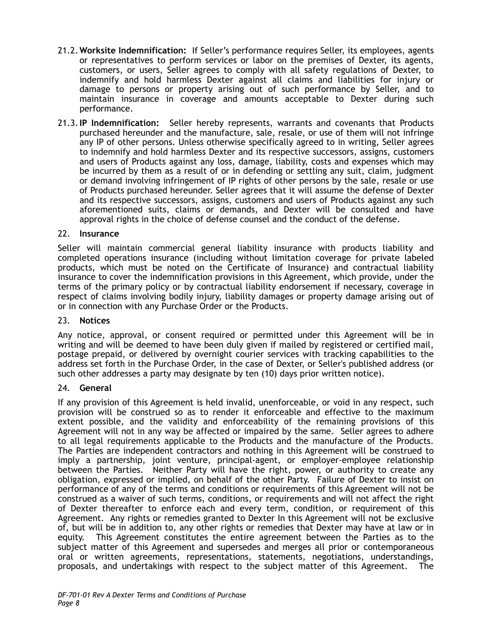- 21.2.**Worksite Indemnification:** If Seller's performance requires Seller, its employees, agents or representatives to perform services or labor on the premises of Dexter, its agents, customers, or users, Seller agrees to comply with all safety regulations of Dexter, to indemnify and hold harmless Dexter against all claims and liabilities for injury or damage to persons or property arising out of such performance by Seller, and to maintain insurance in coverage and amounts acceptable to Dexter during such performance.
- 21.3.**IP Indemnification:** Seller hereby represents, warrants and covenants that Products purchased hereunder and the manufacture, sale, resale, or use of them will not infringe any IP of other persons. Unless otherwise specifically agreed to in writing, Seller agrees to indemnify and hold harmless Dexter and its respective successors, assigns, customers and users of Products against any loss, damage, liability, costs and expenses which may be incurred by them as a result of or in defending or settling any suit, claim, judgment or demand involving infringement of IP rights of other persons by the sale, resale or use of Products purchased hereunder. Seller agrees that it will assume the defense of Dexter and its respective successors, assigns, customers and users of Products against any such aforementioned suits, claims or demands, and Dexter will be consulted and have approval rights in the choice of defense counsel and the conduct of the defense.

# 22. **Insurance**

Seller will maintain commercial general liability insurance with products liability and completed operations insurance (including without limitation coverage for private labeled products, which must be noted on the Certificate of Insurance) and contractual liability insurance to cover the indemnification provisions in this Agreement, which provide, under the terms of the primary policy or by contractual liability endorsement if necessary, coverage in respect of claims involving bodily injury, liability damages or property damage arising out of or in connection with any Purchase Order or the Products.

### 23. **Notices**

Any notice, approval, or consent required or permitted under this Agreement will be in writing and will be deemed to have been duly given if mailed by registered or certified mail, postage prepaid, or delivered by overnight courier services with tracking capabilities to the address set forth in the Purchase Order, in the case of Dexter, or Seller's published address (or such other addresses a party may designate by ten (10) days prior written notice).

### 24. **General**

If any provision of this Agreement is held invalid, unenforceable, or void in any respect, such provision will be construed so as to render it enforceable and effective to the maximum extent possible, and the validity and enforceability of the remaining provisions of this Agreement will not in any way be affected or impaired by the same. Seller agrees to adhere to all legal requirements applicable to the Products and the manufacture of the Products. The Parties are independent contractors and nothing in this Agreement will be construed to imply a partnership, joint venture, principal-agent, or employer-employee relationship between the Parties. Neither Party will have the right, power, or authority to create any obligation, expressed or implied, on behalf of the other Party. Failure of Dexter to insist on performance of any of the terms and conditions or requirements of this Agreement will not be construed as a waiver of such terms, conditions, or requirements and will not affect the right of Dexter thereafter to enforce each and every term, condition, or requirement of this Agreement. Any rights or remedies granted to Dexter In this Agreement will not be exclusive of, but will be in addition to, any other rights or remedies that Dexter may have at law or in equity. This Agreement constitutes the entire agreement between the Parties as to the subject matter of this Agreement and supersedes and merges all prior or contemporaneous oral or written agreements, representations, statements, negotiations, understandings, proposals, and undertakings with respect to the subject matter of this Agreement.